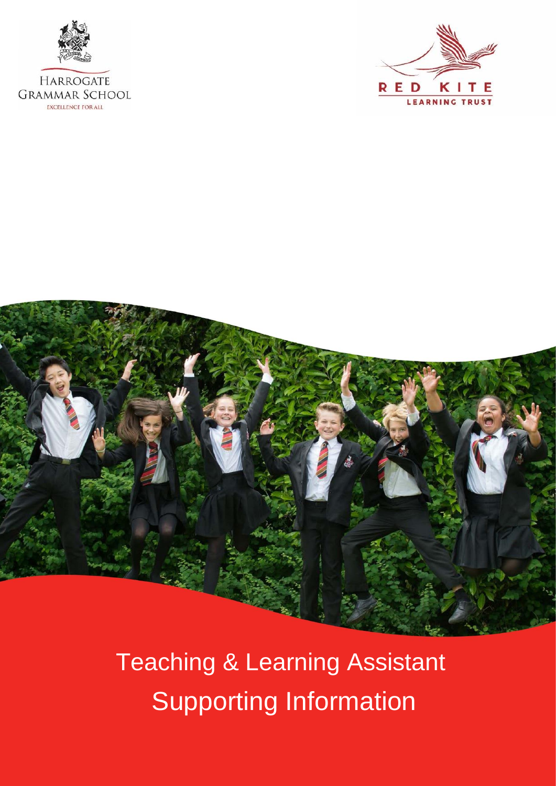

**EXCELLENCE FOR ALL** 





Teaching & Learning Assistant Supporting Information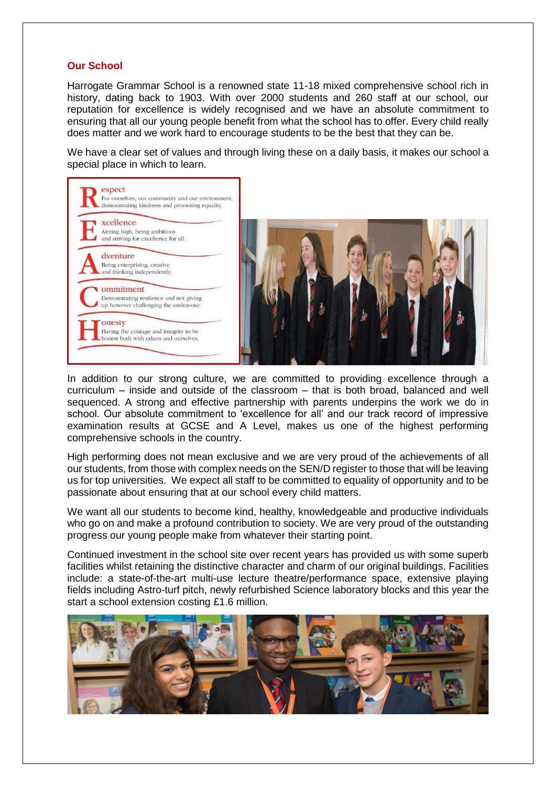### **Our School**

Harrogate Grammar School is a renowned state 11-18 mixed comprehensive school rich in history, dating back to 1903. With over 2000 students and 260 staff at our school, our reputation for excellence is widely recognised and we have an absolute commitment to ensuring that all our young people benefit from what the school has to offer. Every child really does matter and we work hard to encourage students to be the best that they can be.

We have a clear set of values and through living these on a daily basis, it makes our school a special place in which to learn.



In addition to our strong culture, we are committed to providing excellence through a curriculum – inside and outside of the classroom – that is both broad, balanced and well sequenced. A strong and effective partnership with parents underpins the work we do in school. Our absolute commitment to 'excellence for all' and our track record of impressive examination results at GCSE and A Level, makes us one of the highest performing comprehensive schools in the country.

High performing does not mean exclusive and we are very proud of the achievements of all our students, from those with complex needs on the SEN/D register to those that will be leaving us for top universities. We expect all staff to be committed to equality of opportunity and to be passionate about ensuring that at our school every child matters.

We want all our students to become kind, healthy, knowledgeable and productive individuals who go on and make a profound contribution to society. We are very proud of the outstanding progress our young people make from whatever their starting point.

Continued investment in the school site over recent years has provided us with some superb facilities whilst retaining the distinctive character and charm of our original buildings. Facilities include: a state-of-the-art multi-use lecture theatre/performance space, extensive playing fields including Astro-turf pitch, newly refurbished Science laboratory blocks and this year the start a school extension costing £1.6 million.

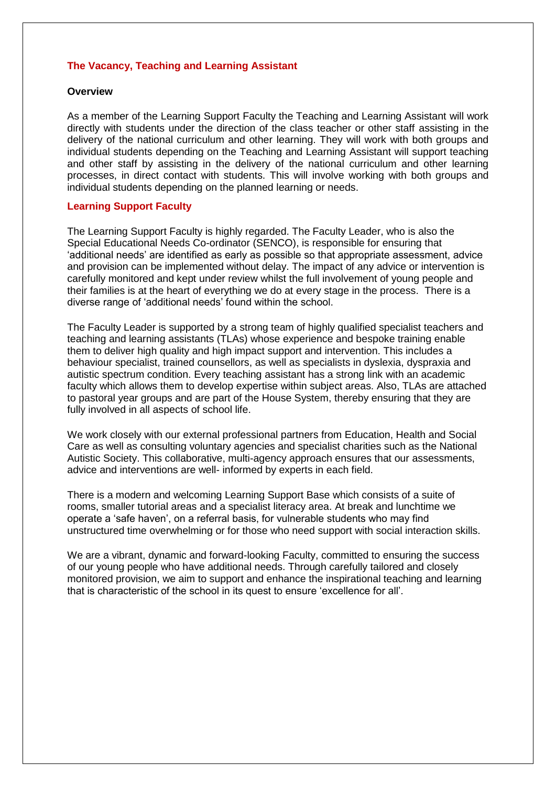# **The Vacancy, Teaching and Learning Assistant**

#### **Overview**

As a member of the Learning Support Faculty the Teaching and Learning Assistant will work directly with students under the direction of the class teacher or other staff assisting in the delivery of the national curriculum and other learning. They will work with both groups and individual students depending on the Teaching and Learning Assistant will support teaching and other staff by assisting in the delivery of the national curriculum and other learning processes, in direct contact with students. This will involve working with both groups and individual students depending on the planned learning or needs.

### **Learning Support Faculty**

The Learning Support Faculty is highly regarded. The Faculty Leader, who is also the Special Educational Needs Co-ordinator (SENCO), is responsible for ensuring that 'additional needs' are identified as early as possible so that appropriate assessment, advice and provision can be implemented without delay. The impact of any advice or intervention is carefully monitored and kept under review whilst the full involvement of young people and their families is at the heart of everything we do at every stage in the process. There is a diverse range of 'additional needs' found within the school.

The Faculty Leader is supported by a strong team of highly qualified specialist teachers and teaching and learning assistants (TLAs) whose experience and bespoke training enable them to deliver high quality and high impact support and intervention. This includes a behaviour specialist, trained counsellors, as well as specialists in dyslexia, dyspraxia and autistic spectrum condition. Every teaching assistant has a strong link with an academic faculty which allows them to develop expertise within subject areas. Also, TLAs are attached to pastoral year groups and are part of the House System, thereby ensuring that they are fully involved in all aspects of school life.

We work closely with our external professional partners from Education, Health and Social Care as well as consulting voluntary agencies and specialist charities such as the National Autistic Society. This collaborative, multi-agency approach ensures that our assessments, advice and interventions are well- informed by experts in each field.

There is a modern and welcoming Learning Support Base which consists of a suite of rooms, smaller tutorial areas and a specialist literacy area. At break and lunchtime we operate a 'safe haven', on a referral basis, for vulnerable students who may find unstructured time overwhelming or for those who need support with social interaction skills.

We are a vibrant, dynamic and forward-looking Faculty, committed to ensuring the success of our young people who have additional needs. Through carefully tailored and closely monitored provision, we aim to support and enhance the inspirational teaching and learning that is characteristic of the school in its quest to ensure 'excellence for all'.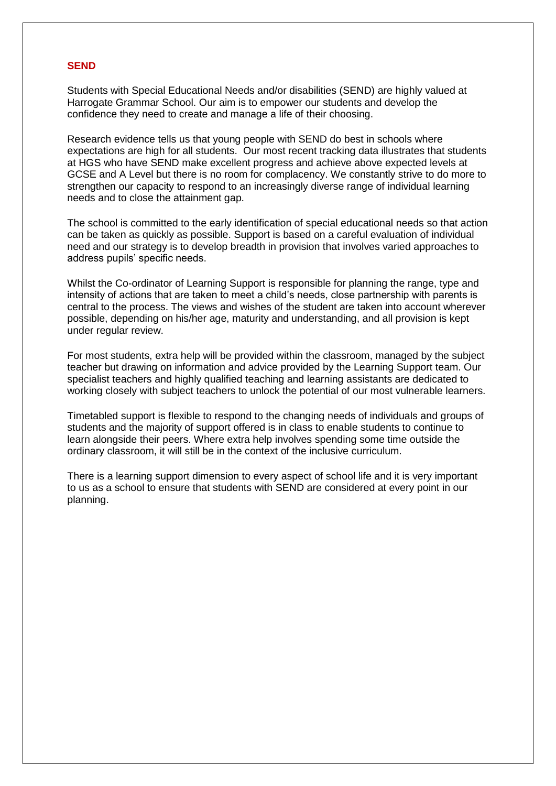#### **SEND**

Students with Special Educational Needs and/or disabilities (SEND) are highly valued at Harrogate Grammar School. Our aim is to empower our students and develop the confidence they need to create and manage a life of their choosing.

Research evidence tells us that young people with SEND do best in schools where expectations are high for all students. Our most recent tracking data illustrates that students at HGS who have SEND make excellent progress and achieve above expected levels at GCSE and A Level but there is no room for complacency. We constantly strive to do more to strengthen our capacity to respond to an increasingly diverse range of individual learning needs and to close the attainment gap.

The school is committed to the early identification of special educational needs so that action can be taken as quickly as possible. Support is based on a careful evaluation of individual need and our strategy is to develop breadth in provision that involves varied approaches to address pupils' specific needs.

Whilst the Co-ordinator of Learning Support is responsible for planning the range, type and intensity of actions that are taken to meet a child's needs, close partnership with parents is central to the process. The views and wishes of the student are taken into account wherever possible, depending on his/her age, maturity and understanding, and all provision is kept under regular review.

For most students, extra help will be provided within the classroom, managed by the subject teacher but drawing on information and advice provided by the Learning Support team. Our specialist teachers and highly qualified teaching and learning assistants are dedicated to working closely with subject teachers to unlock the potential of our most vulnerable learners.

Timetabled support is flexible to respond to the changing needs of individuals and groups of students and the majority of support offered is in class to enable students to continue to learn alongside their peers. Where extra help involves spending some time outside the ordinary classroom, it will still be in the context of the inclusive curriculum.

There is a learning support dimension to every aspect of school life and it is very important to us as a school to ensure that students with SEND are considered at every point in our planning.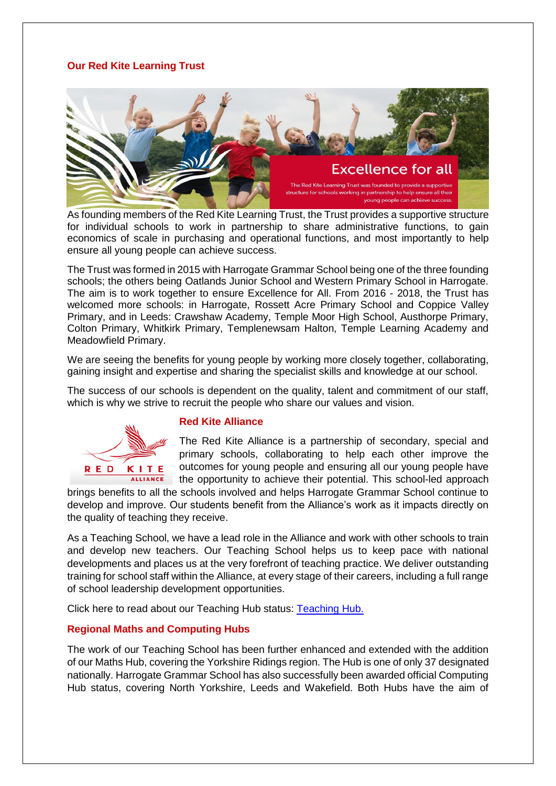# **Our Red Kite Learning Trust**



As founding members of the Red Kite Learning Trust, the Trust provides a supportive structure for individual schools to work in partnership to share administrative functions, to gain economics of scale in purchasing and operational functions, and most importantly to help ensure all young people can achieve success.

The Trust was formed in 2015 with Harrogate Grammar School being one of the three founding schools; the others being Oatlands Junior School and Western Primary School in Harrogate. The aim is to work together to ensure Excellence for All. From 2016 - 2018, the Trust has welcomed more schools: in Harrogate, Rossett Acre Primary School and Coppice Valley Primary, and in Leeds: Crawshaw Academy, Temple Moor High School, Austhorpe Primary, Colton Primary, Whitkirk Primary, Templenewsam Halton, Temple Learning Academy and Meadowfield Primary.

We are seeing the benefits for young people by working more closely together, collaborating, gaining insight and expertise and sharing the specialist skills and knowledge at our school.

The success of our schools is dependent on the quality, talent and commitment of our staff, which is why we strive to recruit the people who share our values and vision.



#### **Red Kite Alliance**

The Red Kite Alliance is a partnership of secondary, special and primary schools, collaborating to help each other improve the outcomes for young people and ensuring all our young people have the opportunity to achieve their potential. This school-led approach

brings benefits to all the schools involved and helps Harrogate Grammar School continue to develop and improve. Our students benefit from the Alliance's work as it impacts directly on the quality of teaching they receive.

As a Teaching School, we have a lead role in the Alliance and work with other schools to train and develop new teachers. Our Teaching School helps us to keep pace with national developments and places us at the very forefront of teaching practice. We deliver outstanding training for school staff within the Alliance, at every stage of their careers, including a full range of school leadership development opportunities.

Click here to read about our Teaching Hub status: [Teaching Hub.](https://www.harrogategrammar.co.uk/news/dfe-selects-hgs-to-become-teaching-school-hub/)

# **Regional Maths and Computing Hubs**

The work of our Teaching School has been further enhanced and extended with the addition of our Maths Hub, covering the Yorkshire Ridings region. The Hub is one of only 37 designated nationally. Harrogate Grammar School has also successfully been awarded official Computing Hub status, covering North Yorkshire, Leeds and Wakefield. Both Hubs have the aim of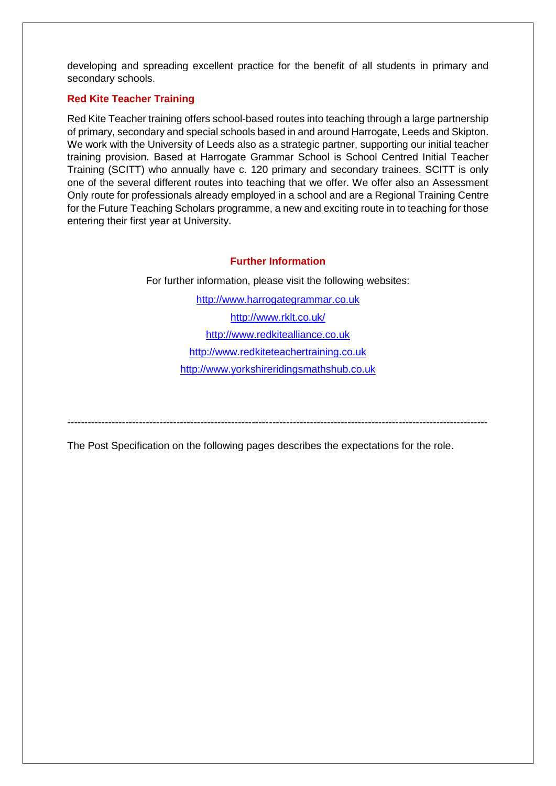developing and spreading excellent practice for the benefit of all students in primary and secondary schools.

# **Red Kite Teacher Training**

Red Kite Teacher training offers school-based routes into teaching through a large partnership of primary, secondary and special schools based in and around Harrogate, Leeds and Skipton. We work with the University of Leeds also as a strategic partner, supporting our initial teacher training provision. Based at Harrogate Grammar School is School Centred Initial Teacher Training (SCITT) who annually have c. 120 primary and secondary trainees. SCITT is only one of the several different routes into teaching that we offer. We offer also an Assessment Only route for professionals already employed in a school and are a Regional Training Centre for the Future Teaching Scholars programme, a new and exciting route in to teaching for those entering their first year at University.

# **Further Information**

For further information, please visit the following websites:

[http://www.harrogategrammar.co.uk](http://www.harrogategrammar.co.uk/) <http://www.rklt.co.uk/> [http://www.redkitealliance.co.uk](http://www.redkitealliance.co.uk/) [http://www.redkiteteachertraining.co.uk](http://www.redkiteteachertraining.co.uk/) [http://www.yorkshireridingsmathshub.co.uk](http://www.yorkshireridingsmathshub.co.uk/)

---------------------------------------------------------------------------------------------------------------------------

The Post Specification on the following pages describes the expectations for the role.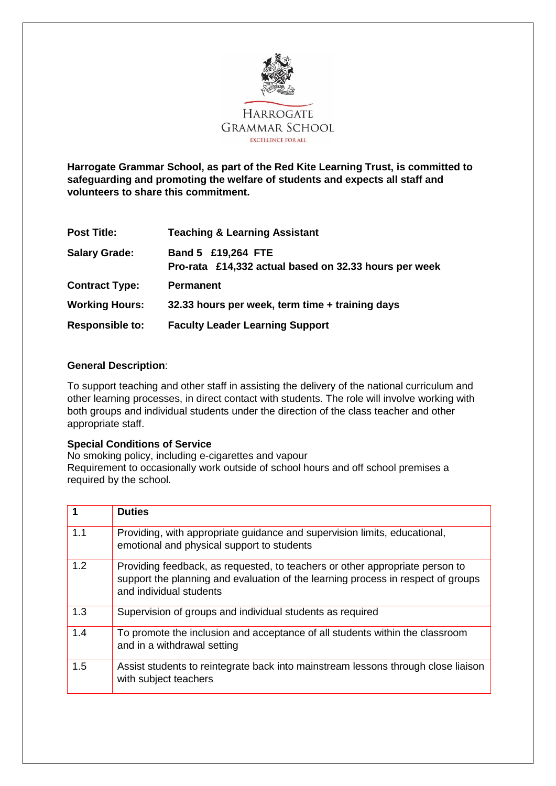

**Harrogate Grammar School, as part of the Red Kite Learning Trust, is committed to safeguarding and promoting the welfare of students and expects all staff and volunteers to share this commitment.**

| <b>Post Title:</b>     | <b>Teaching &amp; Learning Assistant</b>                                    |
|------------------------|-----------------------------------------------------------------------------|
| <b>Salary Grade:</b>   | Band 5 £19,264 FTE<br>Pro-rata £14,332 actual based on 32.33 hours per week |
| <b>Contract Type:</b>  | <b>Permanent</b>                                                            |
| <b>Working Hours:</b>  | 32.33 hours per week, term time + training days                             |
| <b>Responsible to:</b> | <b>Faculty Leader Learning Support</b>                                      |

# **General Description**:

To support teaching and other staff in assisting the delivery of the national curriculum and other learning processes, in direct contact with students. The role will involve working with both groups and individual students under the direction of the class teacher and other appropriate staff.

#### **Special Conditions of Service**

No smoking policy, including e-cigarettes and vapour Requirement to occasionally work outside of school hours and off school premises a required by the school.

|     | <b>Duties</b>                                                                                                                                                                               |
|-----|---------------------------------------------------------------------------------------------------------------------------------------------------------------------------------------------|
| 1.1 | Providing, with appropriate guidance and supervision limits, educational,<br>emotional and physical support to students                                                                     |
| 1.2 | Providing feedback, as requested, to teachers or other appropriate person to<br>support the planning and evaluation of the learning process in respect of groups<br>and individual students |
| 1.3 | Supervision of groups and individual students as required                                                                                                                                   |
| 1.4 | To promote the inclusion and acceptance of all students within the classroom<br>and in a withdrawal setting                                                                                 |
| 1.5 | Assist students to reintegrate back into mainstream lessons through close liaison<br>with subject teachers                                                                                  |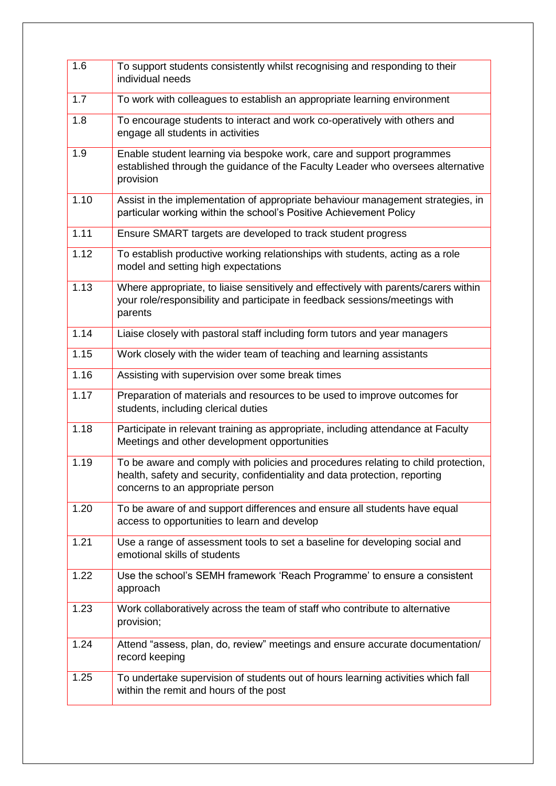| 1.6  | To support students consistently whilst recognising and responding to their<br>individual needs                                                                                                       |
|------|-------------------------------------------------------------------------------------------------------------------------------------------------------------------------------------------------------|
| 1.7  | To work with colleagues to establish an appropriate learning environment                                                                                                                              |
| 1.8  | To encourage students to interact and work co-operatively with others and<br>engage all students in activities                                                                                        |
| 1.9  | Enable student learning via bespoke work, care and support programmes<br>established through the guidance of the Faculty Leader who oversees alternative<br>provision                                 |
| 1.10 | Assist in the implementation of appropriate behaviour management strategies, in<br>particular working within the school's Positive Achievement Policy                                                 |
| 1.11 | Ensure SMART targets are developed to track student progress                                                                                                                                          |
| 1.12 | To establish productive working relationships with students, acting as a role<br>model and setting high expectations                                                                                  |
| 1.13 | Where appropriate, to liaise sensitively and effectively with parents/carers within<br>your role/responsibility and participate in feedback sessions/meetings with<br>parents                         |
| 1.14 | Liaise closely with pastoral staff including form tutors and year managers                                                                                                                            |
| 1.15 | Work closely with the wider team of teaching and learning assistants                                                                                                                                  |
| 1.16 | Assisting with supervision over some break times                                                                                                                                                      |
| 1.17 | Preparation of materials and resources to be used to improve outcomes for<br>students, including clerical duties                                                                                      |
| 1.18 | Participate in relevant training as appropriate, including attendance at Faculty<br>Meetings and other development opportunities                                                                      |
| 1.19 | To be aware and comply with policies and procedures relating to child protection,<br>health, safety and security, confidentiality and data protection, reporting<br>concerns to an appropriate person |
| 1.20 | To be aware of and support differences and ensure all students have equal<br>access to opportunities to learn and develop                                                                             |
| 1.21 | Use a range of assessment tools to set a baseline for developing social and<br>emotional skills of students                                                                                           |
| 1.22 | Use the school's SEMH framework 'Reach Programme' to ensure a consistent<br>approach                                                                                                                  |
| 1.23 | Work collaboratively across the team of staff who contribute to alternative<br>provision;                                                                                                             |
| 1.24 | Attend "assess, plan, do, review" meetings and ensure accurate documentation/<br>record keeping                                                                                                       |
| 1.25 | To undertake supervision of students out of hours learning activities which fall<br>within the remit and hours of the post                                                                            |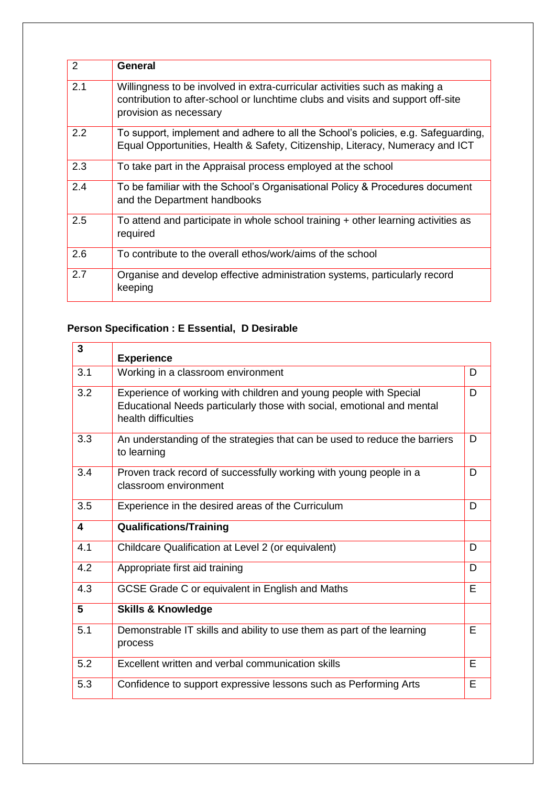| $\overline{2}$ | General                                                                                                                                                                                 |
|----------------|-----------------------------------------------------------------------------------------------------------------------------------------------------------------------------------------|
| 2.1            | Willingness to be involved in extra-curricular activities such as making a<br>contribution to after-school or lunchtime clubs and visits and support off-site<br>provision as necessary |
| 2.2            | To support, implement and adhere to all the School's policies, e.g. Safeguarding,<br>Equal Opportunities, Health & Safety, Citizenship, Literacy, Numeracy and ICT                      |
| 2.3            | To take part in the Appraisal process employed at the school                                                                                                                            |
| 2.4            | To be familiar with the School's Organisational Policy & Procedures document<br>and the Department handbooks                                                                            |
| 2.5            | To attend and participate in whole school training + other learning activities as<br>required                                                                                           |
| 2.6            | To contribute to the overall ethos/work/aims of the school                                                                                                                              |
| 2.7            | Organise and develop effective administration systems, particularly record<br>keeping                                                                                                   |

# **Person Specification : E Essential, D Desirable**

| 3   | <b>Experience</b>                                                                                                                                                  |   |
|-----|--------------------------------------------------------------------------------------------------------------------------------------------------------------------|---|
| 3.1 | Working in a classroom environment                                                                                                                                 | D |
| 3.2 | Experience of working with children and young people with Special<br>Educational Needs particularly those with social, emotional and mental<br>health difficulties | D |
| 3.3 | An understanding of the strategies that can be used to reduce the barriers<br>to learning                                                                          | D |
| 3.4 | Proven track record of successfully working with young people in a<br>classroom environment                                                                        | D |
| 3.5 | Experience in the desired areas of the Curriculum                                                                                                                  | D |
| 4   | <b>Qualifications/Training</b>                                                                                                                                     |   |
| 4.1 | Childcare Qualification at Level 2 (or equivalent)                                                                                                                 | D |
|     |                                                                                                                                                                    |   |
| 4.2 | Appropriate first aid training                                                                                                                                     | D |
| 4.3 | GCSE Grade C or equivalent in English and Maths                                                                                                                    | E |
| 5   | <b>Skills &amp; Knowledge</b>                                                                                                                                      |   |
| 5.1 | Demonstrable IT skills and ability to use them as part of the learning<br>process                                                                                  | E |
| 5.2 | Excellent written and verbal communication skills                                                                                                                  | E |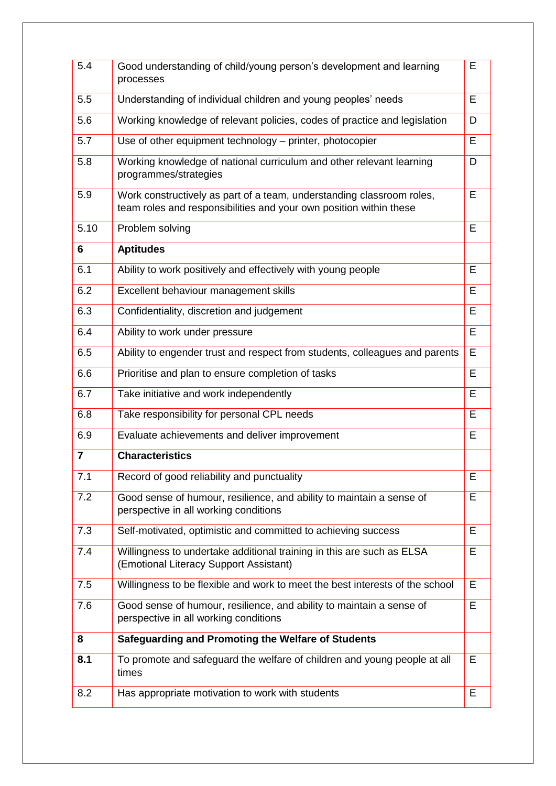| 5.4            | Good understanding of child/young person's development and learning<br>processes                                                            | E |
|----------------|---------------------------------------------------------------------------------------------------------------------------------------------|---|
| 5.5            | Understanding of individual children and young peoples' needs                                                                               | E |
| 5.6            | Working knowledge of relevant policies, codes of practice and legislation                                                                   | D |
| 5.7            | Use of other equipment technology - printer, photocopier                                                                                    | E |
| 5.8            | Working knowledge of national curriculum and other relevant learning<br>programmes/strategies                                               | D |
| 5.9            | Work constructively as part of a team, understanding classroom roles,<br>team roles and responsibilities and your own position within these | E |
| 5.10           | Problem solving                                                                                                                             | E |
| 6              | <b>Aptitudes</b>                                                                                                                            |   |
| 6.1            | Ability to work positively and effectively with young people                                                                                | E |
| 6.2            | Excellent behaviour management skills                                                                                                       | E |
| 6.3            | Confidentiality, discretion and judgement                                                                                                   | E |
| 6.4            | Ability to work under pressure                                                                                                              | E |
| 6.5            | Ability to engender trust and respect from students, colleagues and parents                                                                 | E |
| 6.6            | Prioritise and plan to ensure completion of tasks                                                                                           | E |
| 6.7            | Take initiative and work independently                                                                                                      | E |
| 6.8            | Take responsibility for personal CPL needs                                                                                                  | E |
| 6.9            | Evaluate achievements and deliver improvement                                                                                               | E |
| $\overline{7}$ | <b>Characteristics</b>                                                                                                                      |   |
| 7.1            | Record of good reliability and punctuality                                                                                                  | E |
| 7.2            | Good sense of humour, resilience, and ability to maintain a sense of<br>perspective in all working conditions                               | E |
| 7.3            | Self-motivated, optimistic and committed to achieving success                                                                               | E |
| 7.4            | Willingness to undertake additional training in this are such as ELSA<br>(Emotional Literacy Support Assistant)                             | E |
| 7.5            | Willingness to be flexible and work to meet the best interests of the school                                                                | E |
| 7.6            | Good sense of humour, resilience, and ability to maintain a sense of<br>perspective in all working conditions                               | E |
| 8              | <b>Safeguarding and Promoting the Welfare of Students</b>                                                                                   |   |
| 8.1            | To promote and safeguard the welfare of children and young people at all<br>times                                                           | E |
| 8.2            | Has appropriate motivation to work with students                                                                                            | E |